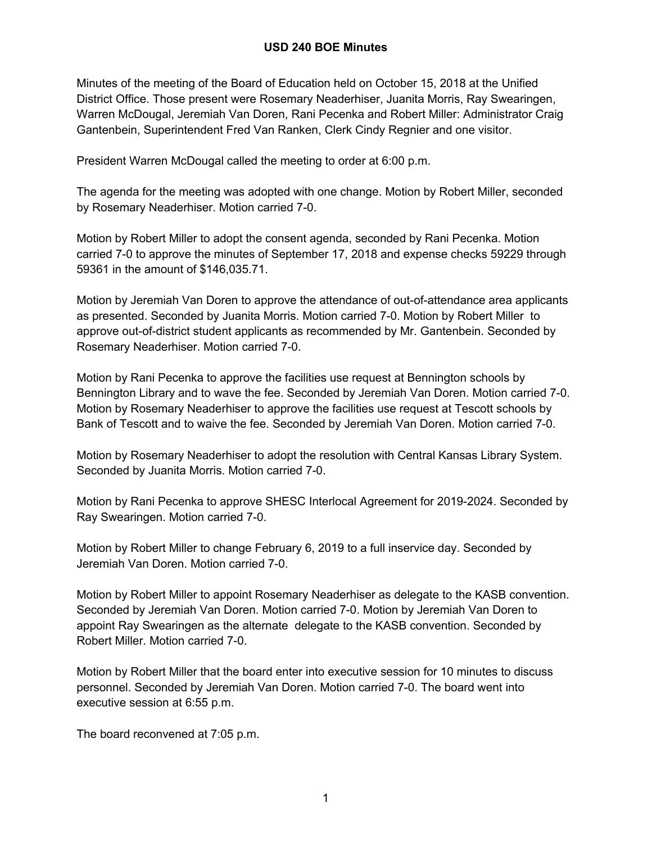Minutes of the meeting of the Board of Education held on October 15, 2018 at the Unified District Office. Those present were Rosemary Neaderhiser, Juanita Morris, Ray Swearingen, Warren McDougal, Jeremiah Van Doren, Rani Pecenka and Robert Miller: Administrator Craig Gantenbein, Superintendent Fred Van Ranken, Clerk Cindy Regnier and one visitor.

President Warren McDougal called the meeting to order at 6:00 p.m.

The agenda for the meeting was adopted with one change. Motion by Robert Miller, seconded by Rosemary Neaderhiser. Motion carried 7-0.

Motion by Robert Miller to adopt the consent agenda, seconded by Rani Pecenka. Motion carried 7-0 to approve the minutes of September 17, 2018 and expense checks 59229 through 59361 in the amount of \$146,035.71.

Motion by Jeremiah Van Doren to approve the attendance of out-of-attendance area applicants as presented. Seconded by Juanita Morris. Motion carried 7-0. Motion by Robert Miller to approve out-of-district student applicants as recommended by Mr. Gantenbein. Seconded by Rosemary Neaderhiser. Motion carried 7-0.

Motion by Rani Pecenka to approve the facilities use request at Bennington schools by Bennington Library and to wave the fee. Seconded by Jeremiah Van Doren. Motion carried 7-0. Motion by Rosemary Neaderhiser to approve the facilities use request at Tescott schools by Bank of Tescott and to waive the fee. Seconded by Jeremiah Van Doren. Motion carried 7-0.

Motion by Rosemary Neaderhiser to adopt the resolution with Central Kansas Library System. Seconded by Juanita Morris. Motion carried 7-0.

Motion by Rani Pecenka to approve SHESC Interlocal Agreement for 2019-2024. Seconded by Ray Swearingen. Motion carried 7-0.

Motion by Robert Miller to change February 6, 2019 to a full inservice day. Seconded by Jeremiah Van Doren. Motion carried 7-0.

Motion by Robert Miller to appoint Rosemary Neaderhiser as delegate to the KASB convention. Seconded by Jeremiah Van Doren. Motion carried 7-0. Motion by Jeremiah Van Doren to appoint Ray Swearingen as the alternate delegate to the KASB convention. Seconded by Robert Miller. Motion carried 7-0.

Motion by Robert Miller that the board enter into executive session for 10 minutes to discuss personnel. Seconded by Jeremiah Van Doren. Motion carried 7-0. The board went into executive session at 6:55 p.m.

The board reconvened at 7:05 p.m.